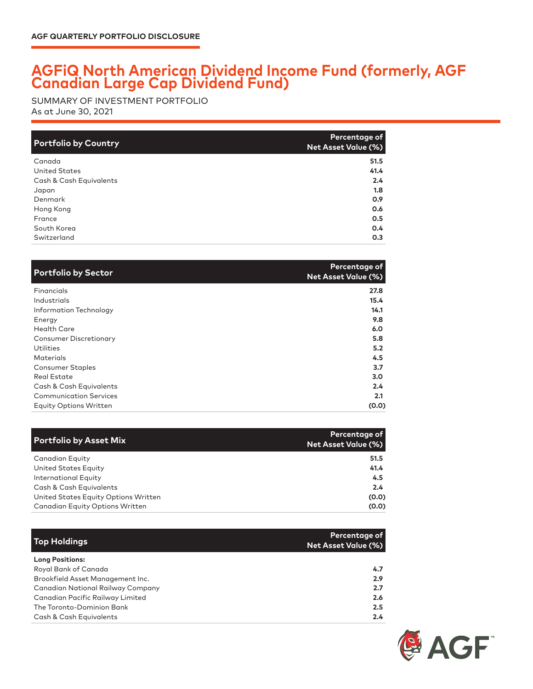## **AGFiQ North American Dividend Income Fund (formerly, AGF Canadian Large Cap Dividend Fund)**

As at June 30, 2021 SUMMARY OF INVESTMENT PORTFOLIO

| <b>Portfolio by Country</b> | Percentage of<br>Net Asset Value (%) |
|-----------------------------|--------------------------------------|
| Canada                      | 51.5                                 |
| <b>United States</b>        | 41.4                                 |
| Cash & Cash Equivalents     | 2.4                                  |
| Japan                       | 1.8                                  |
| Denmark                     | 0.9                                  |
| Hong Kong                   | 0.6                                  |
| France                      | 0.5                                  |
| South Korea                 | 0.4                                  |
| Switzerland                 | 0.3                                  |

| <b>Portfolio by Sector</b>    | Percentage of<br><b>Net Asset Value (%)</b> |
|-------------------------------|---------------------------------------------|
| Financials                    | 27.8                                        |
| Industrials                   | 15.4                                        |
| Information Technology        | 14.1                                        |
| Energy                        | 9.8                                         |
| <b>Health Care</b>            | 6.0                                         |
| <b>Consumer Discretionary</b> | 5.8                                         |
| Utilities                     | 5.2                                         |
| <b>Materials</b>              | 4.5                                         |
| <b>Consumer Staples</b>       | 3.7                                         |
| <b>Real Estate</b>            | 3.0                                         |
| Cash & Cash Equivalents       | 2.4                                         |
| <b>Communication Services</b> | 2.1                                         |
| <b>Equity Options Written</b> | (0.0)                                       |

| <b>Portfolio by Asset Mix</b>          | <b>Percentage of</b><br>Net Asset Value (%) |
|----------------------------------------|---------------------------------------------|
| Canadian Equity                        | 51.5                                        |
| United States Equity                   | 41.4                                        |
| <b>International Equity</b>            | 4.5                                         |
| Cash & Cash Equivalents                | 2.4                                         |
| United States Equity Options Written   | (0.0)                                       |
| <b>Canadian Equity Options Written</b> | (0.0)                                       |

| <b>Top Holdings</b>                      | Percentage of<br><b>Net Asset Value (%)</b> |
|------------------------------------------|---------------------------------------------|
| <b>Long Positions:</b>                   |                                             |
| Royal Bank of Canada                     | 4.7                                         |
| Brookfield Asset Management Inc.         | 2.9                                         |
| <b>Canadian National Railway Company</b> | 2.7                                         |
| Canadian Pacific Railway Limited         | 2.6                                         |
| The Toronto-Dominion Bank                | 2.5                                         |
| Cash & Cash Equivalents                  | $2.4^{\circ}$                               |